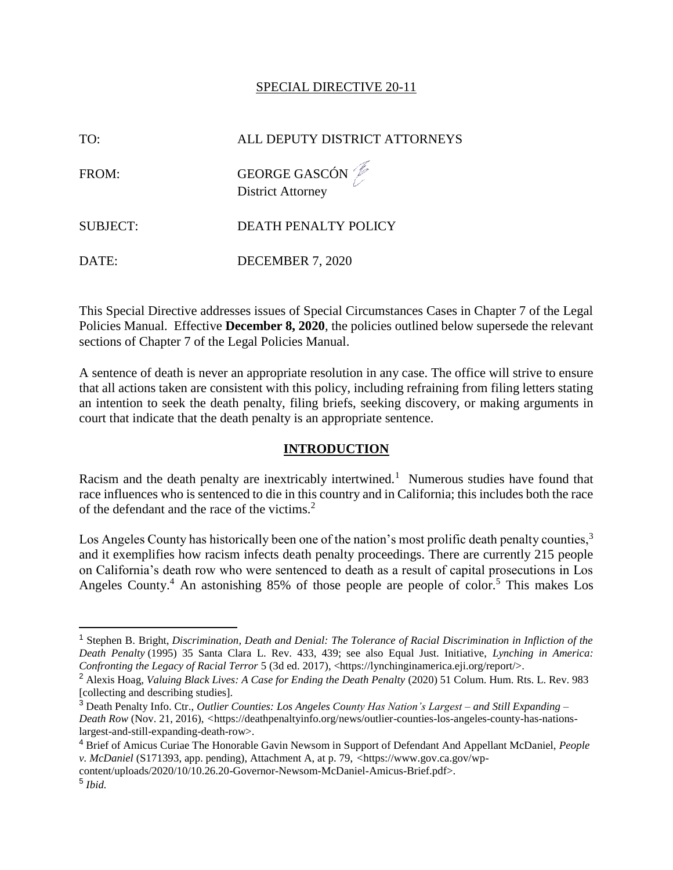### SPECIAL DIRECTIVE 20-11

# TO: ALL DEPUTY DISTRICT ATTORNEYS FROM: GEORGE GASCÓN District Attorney SUBJECT: DEATH PENALTY POLICY DATE: DECEMBER 7, 2020

This Special Directive addresses issues of Special Circumstances Cases in Chapter 7 of the Legal Policies Manual. Effective **December 8, 2020**, the policies outlined below supersede the relevant sections of Chapter 7 of the Legal Policies Manual.

A sentence of death is never an appropriate resolution in any case. The office will strive to ensure that all actions taken are consistent with this policy, including refraining from filing letters stating an intention to seek the death penalty, filing briefs, seeking discovery, or making arguments in court that indicate that the death penalty is an appropriate sentence.

### **INTRODUCTION**

Racism and the death penalty are inextricably intertwined.<sup>1</sup> Numerous studies have found that race influences who is sentenced to die in this country and in California; this includes both the race of the defendant and the race of the victims.<sup>2</sup>

Los Angeles County has historically been one of the nation's most prolific death penalty counties,<sup>3</sup> and it exemplifies how racism infects death penalty proceedings. There are currently 215 people on California's death row who were sentenced to death as a result of capital prosecutions in Los Angeles County.<sup>4</sup> An astonishing 85% of those people are people of color.<sup>5</sup> This makes Los

content/uploads/2020/10/10.26.20-Governor-Newsom-McDaniel-Amicus-Brief.pdf>.

<sup>1</sup> Stephen B. Bright, *Discrimination, Death and Denial: The Tolerance of Racial Discrimination in Infliction of the Death Penalty* (1995) 35 Santa Clara L. Rev. 433, 439; see also Equal Just. Initiative, *Lynching in America: Confronting the Legacy of Racial Terror* 5 (3d ed. 2017), <https://lynchinginamerica.eji.org/report/>.

<sup>2</sup> Alexis Hoag, *Valuing Black Lives: A Case for Ending the Death Penalty* (2020) 51 Colum. Hum. Rts. L. Rev. 983 [collecting and describing studies].

<sup>3</sup> Death Penalty Info. Ctr., *Outlier Counties: Los Angeles County Has Nation's Largest – and Still Expanding – Death Row* (Nov. 21, 2016), *<*https://deathpenaltyinfo.org/news/outlier-counties-los-angeles-county-has-nationslargest-and-still-expanding-death-row>.

<sup>4</sup> Brief of Amicus Curiae The Honorable Gavin Newsom in Support of Defendant And Appellant McDaniel, *People v. McDaniel* (S171393, app. pending), Attachment A, at p. 79, *<*https://www.gov.ca.gov/wp-

<sup>5</sup> *Ibid.*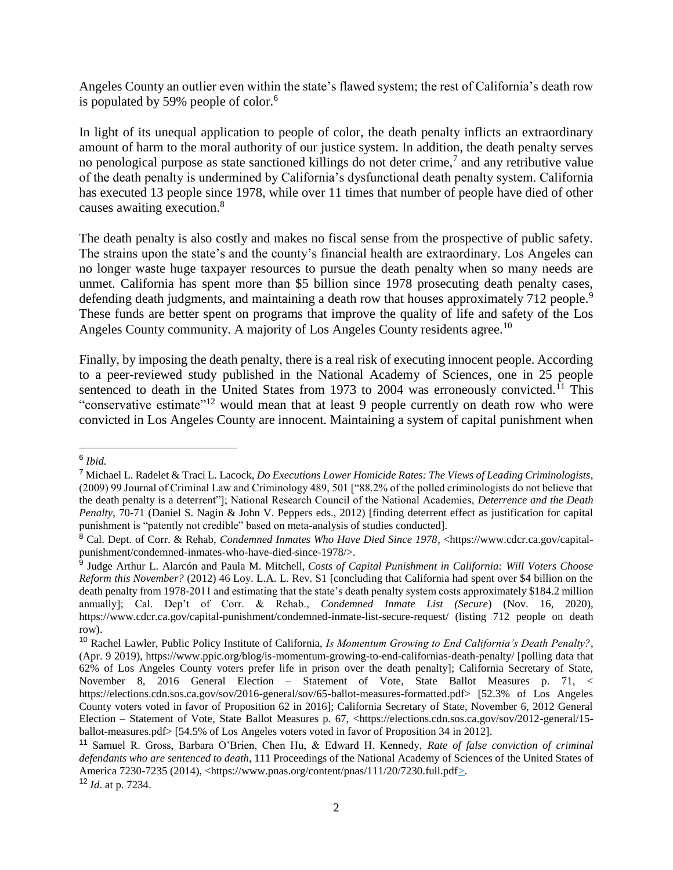Angeles County an outlier even within the state's flawed system; the rest of California's death row is populated by 59% people of color. $6$ 

In light of its unequal application to people of color, the death penalty inflicts an extraordinary amount of harm to the moral authority of our justice system. In addition, the death penalty serves no penological purpose as state sanctioned killings do not deter crime,<sup>7</sup> and any retributive value of the death penalty is undermined by California's dysfunctional death penalty system. California has executed 13 people since 1978, while over 11 times that number of people have died of other causes awaiting execution.<sup>8</sup>

The death penalty is also costly and makes no fiscal sense from the prospective of public safety. The strains upon the state's and the county's financial health are extraordinary. Los Angeles can no longer waste huge taxpayer resources to pursue the death penalty when so many needs are unmet. California has spent more than \$5 billion since 1978 prosecuting death penalty cases, defending death judgments, and maintaining a death row that houses approximately 712 people.<sup>9</sup> These funds are better spent on programs that improve the quality of life and safety of the Los Angeles County community. A majority of Los Angeles County residents agree.<sup>10</sup>

Finally, by imposing the death penalty, there is a real risk of executing innocent people. According to a peer-reviewed study published in the National Academy of Sciences, one in 25 people sentenced to death in the United States from 1973 to 2004 was erroneously convicted.<sup>11</sup> This "conservative estimate"<sup>12</sup> would mean that at least 9 people currently on death row who were convicted in Los Angeles County are innocent. Maintaining a system of capital punishment when

 $\overline{a}$ 

<sup>6</sup> *Ibid.*

<sup>7</sup> Michael L. Radelet & Traci L. Lacock, *Do Executions Lower Homicide Rates: The Views of Leading Criminologists*, (2009) 99 Journal of Criminal Law and Criminology 489, 501 ["88.2% of the polled criminologists do not believe that the death penalty is a deterrent"]; National Research Council of the National Academies, *Deterrence and the Death Penalty*, 70-71 (Daniel S. Nagin & John V. Peppers eds., 2012) [finding deterrent effect as justification for capital punishment is "patently not credible" based on meta-analysis of studies conducted].

<sup>&</sup>lt;sup>8</sup> Cal. Dept. of Corr. & Rehab, *Condemned Inmates Who Have Died Since 1978*, <https://www.cdcr.ca.gov/capitalpunishment/condemned-inmates-who-have-died-since-1978/>.

<sup>9</sup> Judge Arthur L. Alarcón and Paula M. Mitchell, *Costs of Capital Punishment in California: Will Voters Choose Reform this November?* (2012) 46 Loy. L.A. L. Rev. S1 [concluding that California had spent over \$4 billion on the death penalty from 1978-2011 and estimating that the state's death penalty system costs approximately \$184.2 million annually]; Cal. Dep't of Corr. & Rehab., *Condemned Inmate List (Secure*) (Nov. 16, 2020), https://www.cdcr.ca.gov/capital-punishment/condemned-inmate-list-secure-request/ (listing 712 people on death row).

<sup>10</sup> Rachel Lawler, Public Policy Institute of California, *Is Momentum Growing to End California's Death Penalty?*, (Apr. 9 2019), https://www.ppic.org/blog/is-momentum-growing-to-end-californias-death-penalty/ [polling data that 62% of Los Angeles County voters prefer life in prison over the death penalty]; California Secretary of State, November 8, 2016 General Election – Statement of Vote, State Ballot Measures p. 71, < https://elections.cdn.sos.ca.gov/sov/2016-general/sov/65-ballot-measures-formatted.pdf> [52.3% of Los Angeles County voters voted in favor of Proposition 62 in 2016]; California Secretary of State, November 6, 2012 General Election – Statement of Vote, State Ballot Measures p. 67, <https://elections.cdn.sos.ca.gov/sov/2012-general/15 ballot-measures.pdf> [54.5% of Los Angeles voters voted in favor of Proposition 34 in 2012].

<sup>11</sup> Samuel R. Gross, Barbara O'Brien, Chen Hu, & Edward H. Kennedy, *Rate of false conviction of criminal defendants who are sentenced to death*, 111 Proceedings of the National Academy of Sciences of the United States of America 7230-7235 (2014), <https://www.pnas.org/content/pnas/111/20/7230.full.pdf>.

<sup>12</sup> *Id*. at p. 7234.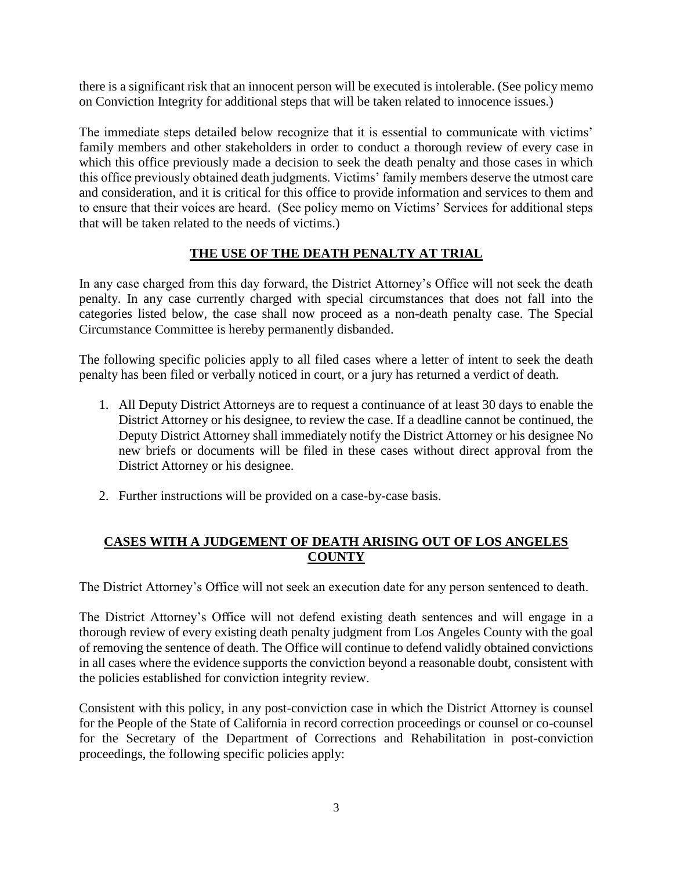there is a significant risk that an innocent person will be executed is intolerable. (See policy memo on Conviction Integrity for additional steps that will be taken related to innocence issues.)

The immediate steps detailed below recognize that it is essential to communicate with victims' family members and other stakeholders in order to conduct a thorough review of every case in which this office previously made a decision to seek the death penalty and those cases in which this office previously obtained death judgments. Victims' family members deserve the utmost care and consideration, and it is critical for this office to provide information and services to them and to ensure that their voices are heard. (See policy memo on Victims' Services for additional steps that will be taken related to the needs of victims.)

# **THE USE OF THE DEATH PENALTY AT TRIAL**

In any case charged from this day forward, the District Attorney's Office will not seek the death penalty. In any case currently charged with special circumstances that does not fall into the categories listed below, the case shall now proceed as a non-death penalty case. The Special Circumstance Committee is hereby permanently disbanded.

The following specific policies apply to all filed cases where a letter of intent to seek the death penalty has been filed or verbally noticed in court, or a jury has returned a verdict of death.

- 1. All Deputy District Attorneys are to request a continuance of at least 30 days to enable the District Attorney or his designee, to review the case. If a deadline cannot be continued, the Deputy District Attorney shall immediately notify the District Attorney or his designee No new briefs or documents will be filed in these cases without direct approval from the District Attorney or his designee.
- 2. Further instructions will be provided on a case-by-case basis.

## **CASES WITH A JUDGEMENT OF DEATH ARISING OUT OF LOS ANGELES COUNTY**

The District Attorney's Office will not seek an execution date for any person sentenced to death.

The District Attorney's Office will not defend existing death sentences and will engage in a thorough review of every existing death penalty judgment from Los Angeles County with the goal of removing the sentence of death. The Office will continue to defend validly obtained convictions in all cases where the evidence supports the conviction beyond a reasonable doubt, consistent with the policies established for conviction integrity review.

Consistent with this policy, in any post-conviction case in which the District Attorney is counsel for the People of the State of California in record correction proceedings or counsel or co-counsel for the Secretary of the Department of Corrections and Rehabilitation in post-conviction proceedings, the following specific policies apply: